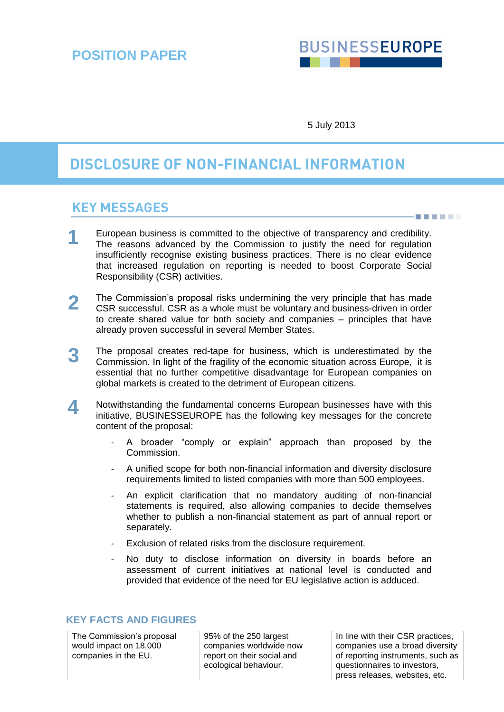# **BUSINESSEUROPE**

S E E S H T

5 July 2013

## **DISCLOSURE OF NON-FINANCIAL INFORMATION**

### **KEY MESSAGES**

- European business is committed to the objective of transparency and credibility. The reasons advanced by the Commission to justify the need for regulation insufficiently recognise existing business practices. There is no clear evidence that increased regulation on reporting is needed to boost Corporate Social Responsibility (CSR) activities. **1**
- The Commission's proposal risks undermining the very principle that has made CSR successful. CSR as a whole must be voluntary and business-driven in order to create shared value for both society and companies – principles that have already proven successful in several Member States. **2**
- The proposal creates red-tape for business, which is underestimated by the Commission. In light of the fragility of the economic situation across Europe, it is essential that no further competitive disadvantage for European companies on global markets is created to the detriment of European citizens. **3**
- Notwithstanding the fundamental concerns European businesses have with this initiative, BUSINESSEUROPE has the following key messages for the concrete content of the proposal: **4**
	- A broader "comply or explain" approach than proposed by the Commission.
	- A unified scope for both non-financial information and diversity disclosure requirements limited to listed companies with more than 500 employees.
	- An explicit clarification that no mandatory auditing of non-financial statements is required, also allowing companies to decide themselves whether to publish a non-financial statement as part of annual report or separately.
	- Exclusion of related risks from the disclosure requirement.
	- No duty to disclose information on diversity in boards before an assessment of current initiatives at national level is conducted and provided that evidence of the need for EU legislative action is adduced.

#### **KEY FACTS AND FIGURES**

The Commission's proposal would impact on 18,000 companies in the EU.

95% of the 250 largest companies worldwide now report on their social and ecological behaviour.

In line with their CSR practices, companies use a broad diversity of reporting instruments, such as questionnaires to investors, press releases, websites, etc.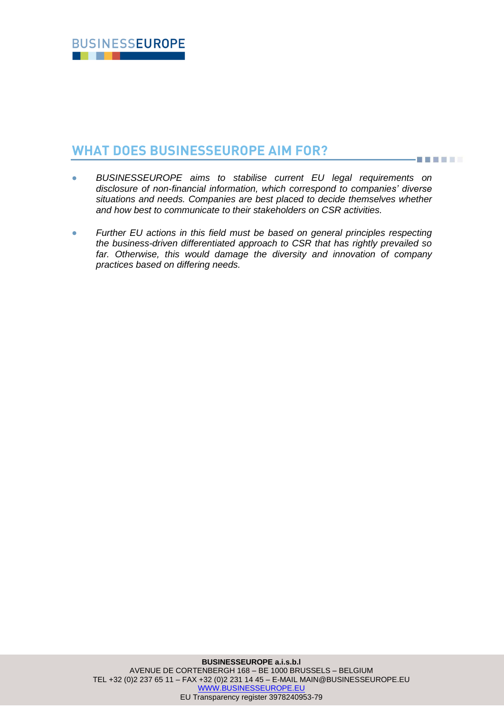## **WHAT DOES BUSINESSEUROPE AIM FOR?**

 *BUSINESSEUROPE aims to stabilise current EU legal requirements on disclosure of non-financial information, which correspond to companies' diverse situations and needs. Companies are best placed to decide themselves whether and how best to communicate to their stakeholders on CSR activities.*

**BEETER** 

 *Further EU actions in this field must be based on general principles respecting the business-driven differentiated approach to CSR that has rightly prevailed so far. Otherwise, this would damage the diversity and innovation of company practices based on differing needs.*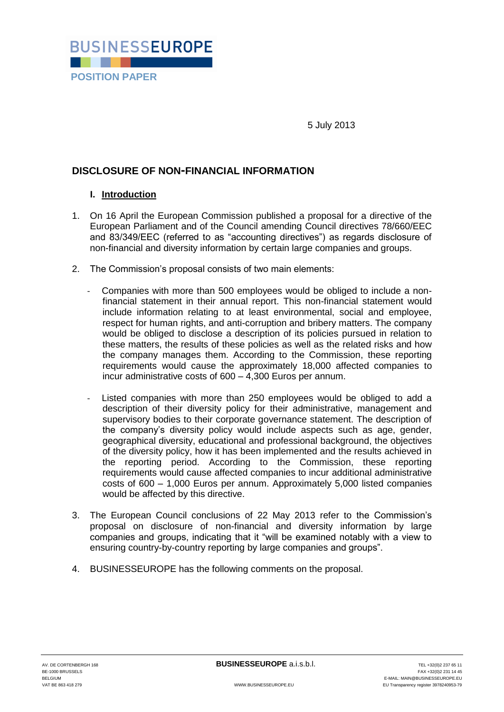

5 July 2013

#### **DISCLOSURE OF NON-FINANCIAL INFORMATION**

#### **I. Introduction**

- 1. On 16 April the European Commission published a proposal for a directive of the European Parliament and of the Council amending Council directives 78/660/EEC and 83/349/EEC (referred to as "accounting directives") as regards disclosure of non-financial and diversity information by certain large companies and groups.
- 2. The Commission's proposal consists of two main elements:
	- Companies with more than 500 employees would be obliged to include a nonfinancial statement in their annual report. This non-financial statement would include information relating to at least environmental, social and employee, respect for human rights, and anti-corruption and bribery matters. The company would be obliged to disclose a description of its policies pursued in relation to these matters, the results of these policies as well as the related risks and how the company manages them. According to the Commission, these reporting requirements would cause the approximately 18,000 affected companies to incur administrative costs of 600 – 4,300 Euros per annum.
	- Listed companies with more than 250 employees would be obliged to add a description of their diversity policy for their administrative, management and supervisory bodies to their corporate governance statement. The description of the company's diversity policy would include aspects such as age, gender, geographical diversity, educational and professional background, the objectives of the diversity policy, how it has been implemented and the results achieved in the reporting period. According to the Commission, these reporting requirements would cause affected companies to incur additional administrative costs of 600 – 1,000 Euros per annum. Approximately 5,000 listed companies would be affected by this directive.
- 3. The European Council conclusions of 22 May 2013 refer to the Commission's proposal on disclosure of non-financial and diversity information by large companies and groups, indicating that it "will be examined notably with a view to ensuring country-by-country reporting by large companies and groups".
- 4. BUSINESSEUROPE has the following comments on the proposal.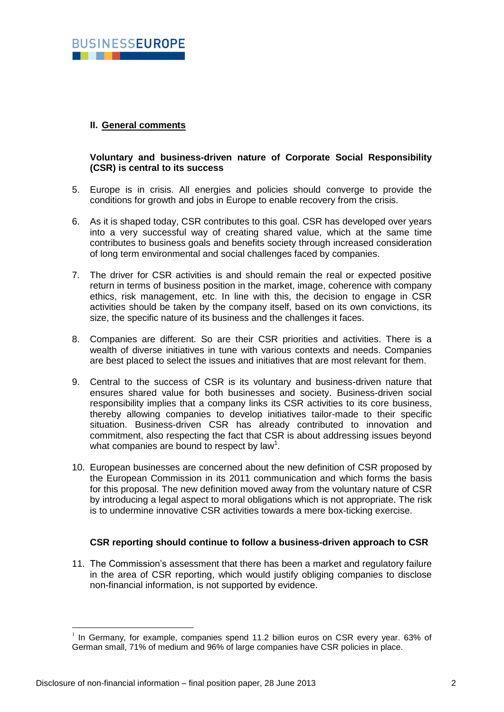#### **II. General comments**

#### **Voluntary and business-driven nature of Corporate Social Responsibility (CSR) is central to its success**

- 5. Europe is in crisis. All energies and policies should converge to provide the conditions for growth and jobs in Europe to enable recovery from the crisis.
- 6. As it is shaped today, CSR contributes to this goal. CSR has developed over years into a very successful way of creating shared value, which at the same time contributes to business goals and benefits society through increased consideration of long term environmental and social challenges faced by companies.
- 7. The driver for CSR activities is and should remain the real or expected positive return in terms of business position in the market, image, coherence with company ethics, risk management, etc. In line with this, the decision to engage in CSR activities should be taken by the company itself, based on its own convictions, its size, the specific nature of its business and the challenges it faces.
- 8. Companies are different. So are their CSR priorities and activities. There is a wealth of diverse initiatives in tune with various contexts and needs. Companies are best placed to select the issues and initiatives that are most relevant for them.
- 9. Central to the success of CSR is its voluntary and business-driven nature that ensures shared value for both businesses and society. Business-driven social responsibility implies that a company links its CSR activities to its core business, thereby allowing companies to develop initiatives tailor-made to their specific situation. Business-driven CSR has already contributed to innovation and commitment, also respecting the fact that CSR is about addressing issues beyond what companies are bound to respect by law<sup>1</sup>.
- 10. European businesses are concerned about the new definition of CSR proposed by the European Commission in its 2011 communication and which forms the basis for this proposal. The new definition moved away from the voluntary nature of CSR by introducing a legal aspect to moral obligations which is not appropriate. The risk is to undermine innovative CSR activities towards a mere box-ticking exercise.

#### **CSR reporting should continue to follow a business-driven approach to CSR**

11. The Commission's assessment that there has been a market and regulatory failure in the area of CSR reporting, which would justify obliging companies to disclose non-financial information, is not supported by evidence.

1

<sup>1</sup> In Germany, for example, companies spend 11.2 billion euros on CSR every year. 63% of German small, 71% of medium and 96% of large companies have CSR policies in place.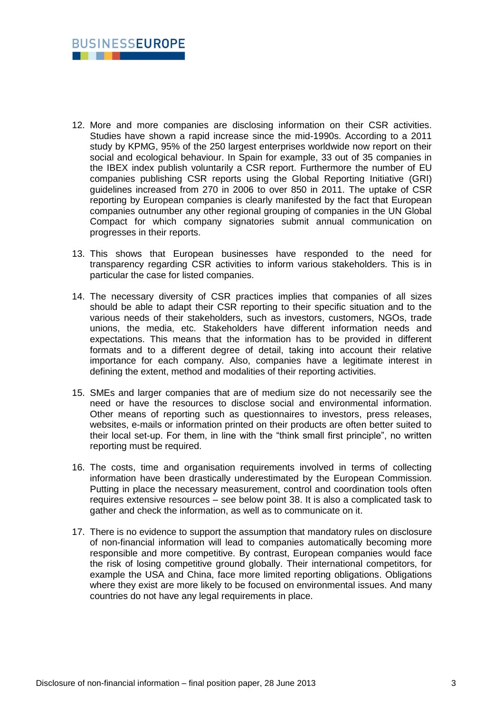

- 12. More and more companies are disclosing information on their CSR activities. Studies have shown a rapid increase since the mid-1990s. According to a 2011 study by KPMG, 95% of the 250 largest enterprises worldwide now report on their social and ecological behaviour. In Spain for example, 33 out of 35 companies in the IBEX index publish voluntarily a CSR report. Furthermore the number of EU companies publishing CSR reports using the Global Reporting Initiative (GRI) guidelines increased from 270 in 2006 to over 850 in 2011. The uptake of CSR reporting by European companies is clearly manifested by the fact that European companies outnumber any other regional grouping of companies in the UN Global Compact for which company signatories submit annual communication on progresses in their reports.
- 13. This shows that European businesses have responded to the need for transparency regarding CSR activities to inform various stakeholders. This is in particular the case for listed companies.
- 14. The necessary diversity of CSR practices implies that companies of all sizes should be able to adapt their CSR reporting to their specific situation and to the various needs of their stakeholders, such as investors, customers, NGOs, trade unions, the media, etc. Stakeholders have different information needs and expectations. This means that the information has to be provided in different formats and to a different degree of detail, taking into account their relative importance for each company. Also, companies have a legitimate interest in defining the extent, method and modalities of their reporting activities.
- 15. SMEs and larger companies that are of medium size do not necessarily see the need or have the resources to disclose social and environmental information. Other means of reporting such as questionnaires to investors, press releases, websites, e-mails or information printed on their products are often better suited to their local set-up. For them, in line with the "think small first principle", no written reporting must be required.
- 16. The costs, time and organisation requirements involved in terms of collecting information have been drastically underestimated by the European Commission. Putting in place the necessary measurement, control and coordination tools often requires extensive resources – see below point 38. It is also a complicated task to gather and check the information, as well as to communicate on it.
- 17. There is no evidence to support the assumption that mandatory rules on disclosure of non-financial information will lead to companies automatically becoming more responsible and more competitive. By contrast, European companies would face the risk of losing competitive ground globally. Their international competitors, for example the USA and China, face more limited reporting obligations. Obligations where they exist are more likely to be focused on environmental issues. And many countries do not have any legal requirements in place.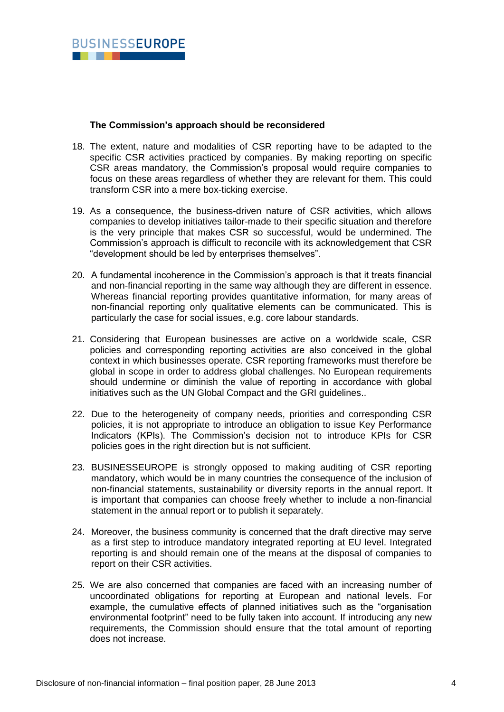#### **The Commission's approach should be reconsidered**

- 18. The extent, nature and modalities of CSR reporting have to be adapted to the specific CSR activities practiced by companies. By making reporting on specific CSR areas mandatory, the Commission's proposal would require companies to focus on these areas regardless of whether they are relevant for them. This could transform CSR into a mere box-ticking exercise.
- 19. As a consequence, the business-driven nature of CSR activities, which allows companies to develop initiatives tailor-made to their specific situation and therefore is the very principle that makes CSR so successful, would be undermined. The Commission's approach is difficult to reconcile with its acknowledgement that CSR "development should be led by enterprises themselves".
- 20. A fundamental incoherence in the Commission's approach is that it treats financial and non-financial reporting in the same way although they are different in essence. Whereas financial reporting provides quantitative information, for many areas of non-financial reporting only qualitative elements can be communicated. This is particularly the case for social issues, e.g. core labour standards.
- 21. Considering that European businesses are active on a worldwide scale, CSR policies and corresponding reporting activities are also conceived in the global context in which businesses operate. CSR reporting frameworks must therefore be global in scope in order to address global challenges. No European requirements should undermine or diminish the value of reporting in accordance with global initiatives such as the UN Global Compact and the GRI guidelines..
- 22. Due to the heterogeneity of company needs, priorities and corresponding CSR policies, it is not appropriate to introduce an obligation to issue Key Performance Indicators (KPIs). The Commission's decision not to introduce KPIs for CSR policies goes in the right direction but is not sufficient.
- 23. BUSINESSEUROPE is strongly opposed to making auditing of CSR reporting mandatory, which would be in many countries the consequence of the inclusion of non-financial statements, sustainability or diversity reports in the annual report. It is important that companies can choose freely whether to include a non-financial statement in the annual report or to publish it separately.
- 24. Moreover, the business community is concerned that the draft directive may serve as a first step to introduce mandatory integrated reporting at EU level. Integrated reporting is and should remain one of the means at the disposal of companies to report on their CSR activities.
- 25. We are also concerned that companies are faced with an increasing number of uncoordinated obligations for reporting at European and national levels. For example, the cumulative effects of planned initiatives such as the "organisation environmental footprint" need to be fully taken into account. If introducing any new requirements, the Commission should ensure that the total amount of reporting does not increase.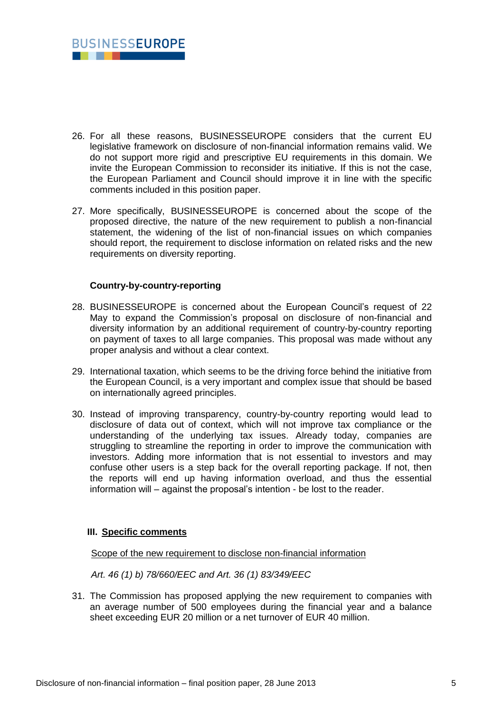

- 26. For all these reasons, BUSINESSEUROPE considers that the current EU legislative framework on disclosure of non-financial information remains valid. We do not support more rigid and prescriptive EU requirements in this domain. We invite the European Commission to reconsider its initiative. If this is not the case, the European Parliament and Council should improve it in line with the specific comments included in this position paper.
- 27. More specifically, BUSINESSEUROPE is concerned about the scope of the proposed directive, the nature of the new requirement to publish a non-financial statement, the widening of the list of non-financial issues on which companies should report, the requirement to disclose information on related risks and the new requirements on diversity reporting.

#### **Country-by-country-reporting**

- 28. BUSINESSEUROPE is concerned about the European Council's request of 22 May to expand the Commission's proposal on disclosure of non-financial and diversity information by an additional requirement of country-by-country reporting on payment of taxes to all large companies. This proposal was made without any proper analysis and without a clear context.
- 29. International taxation, which seems to be the driving force behind the initiative from the European Council, is a very important and complex issue that should be based on internationally agreed principles.
- 30. Instead of improving transparency, country-by-country reporting would lead to disclosure of data out of context, which will not improve tax compliance or the understanding of the underlying tax issues. Already today, companies are struggling to streamline the reporting in order to improve the communication with investors. Adding more information that is not essential to investors and may confuse other users is a step back for the overall reporting package. If not, then the reports will end up having information overload, and thus the essential information will – against the proposal's intention - be lost to the reader.

#### **III. Specific comments**

Scope of the new requirement to disclose non-financial information

*Art. 46 (1) b) 78/660/EEC and Art. 36 (1) 83/349/EEC*

31. The Commission has proposed applying the new requirement to companies with an average number of 500 employees during the financial year and a balance sheet exceeding EUR 20 million or a net turnover of EUR 40 million.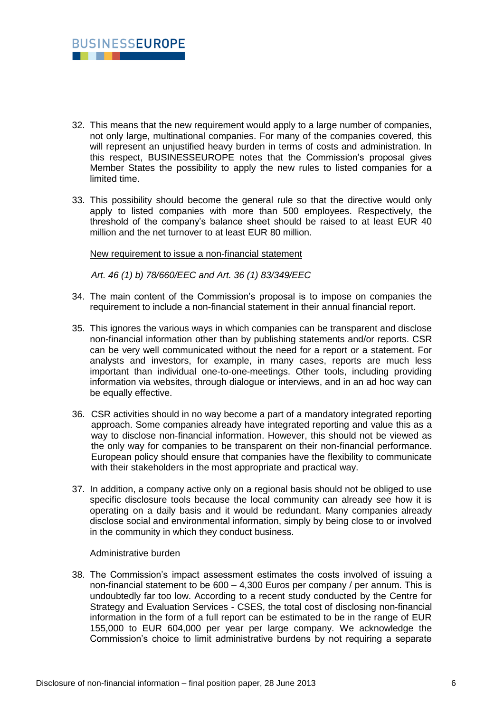

- 32. This means that the new requirement would apply to a large number of companies, not only large, multinational companies. For many of the companies covered, this will represent an uniustified heavy burden in terms of costs and administration. In this respect, BUSINESSEUROPE notes that the Commission's proposal gives Member States the possibility to apply the new rules to listed companies for a limited time.
- 33. This possibility should become the general rule so that the directive would only apply to listed companies with more than 500 employees. Respectively, the threshold of the company's balance sheet should be raised to at least EUR 40 million and the net turnover to at least EUR 80 million.

New requirement to issue a non-financial statement

*Art. 46 (1) b) 78/660/EEC and Art. 36 (1) 83/349/EEC*

- 34. The main content of the Commission's proposal is to impose on companies the requirement to include a non-financial statement in their annual financial report.
- 35. This ignores the various ways in which companies can be transparent and disclose non-financial information other than by publishing statements and/or reports. CSR can be very well communicated without the need for a report or a statement. For analysts and investors, for example, in many cases, reports are much less important than individual one-to-one-meetings. Other tools, including providing information via websites, through dialogue or interviews, and in an ad hoc way can be equally effective.
- 36. CSR activities should in no way become a part of a mandatory integrated reporting approach. Some companies already have integrated reporting and value this as a way to disclose non-financial information. However, this should not be viewed as the only way for companies to be transparent on their non-financial performance. European policy should ensure that companies have the flexibility to communicate with their stakeholders in the most appropriate and practical way.
- 37. In addition, a company active only on a regional basis should not be obliged to use specific disclosure tools because the local community can already see how it is operating on a daily basis and it would be redundant. Many companies already disclose social and environmental information, simply by being close to or involved in the community in which they conduct business.

#### Administrative burden

38. The Commission's impact assessment estimates the costs involved of issuing a non-financial statement to be 600 – 4,300 Euros per company / per annum. This is undoubtedly far too low. According to a recent study conducted by the Centre for Strategy and Evaluation Services - CSES, the total cost of disclosing non-financial information in the form of a full report can be estimated to be in the range of EUR 155,000 to EUR 604,000 per year per large company. We acknowledge the Commission's choice to limit administrative burdens by not requiring a separate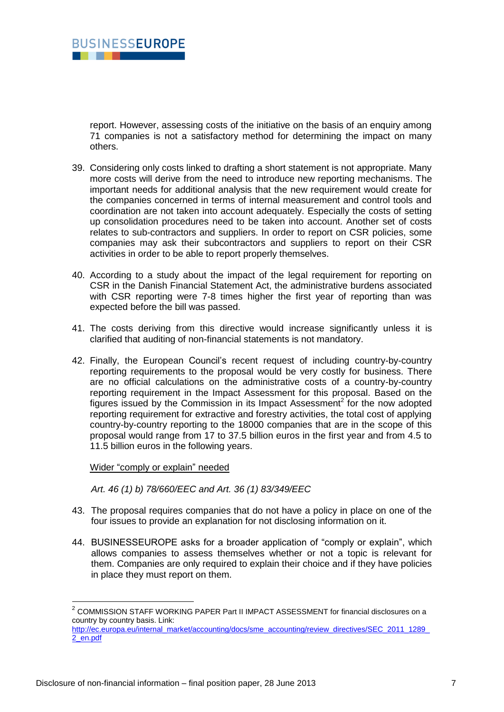

report. However, assessing costs of the initiative on the basis of an enquiry among 71 companies is not a satisfactory method for determining the impact on many others.

- 39. Considering only costs linked to drafting a short statement is not appropriate. Many more costs will derive from the need to introduce new reporting mechanisms. The important needs for additional analysis that the new requirement would create for the companies concerned in terms of internal measurement and control tools and coordination are not taken into account adequately. Especially the costs of setting up consolidation procedures need to be taken into account. Another set of costs relates to sub-contractors and suppliers. In order to report on CSR policies, some companies may ask their subcontractors and suppliers to report on their CSR activities in order to be able to report properly themselves.
- 40. According to a study about the impact of the legal requirement for reporting on CSR in the Danish Financial Statement Act, the administrative burdens associated with CSR reporting were 7-8 times higher the first year of reporting than was expected before the bill was passed.
- 41. The costs deriving from this directive would increase significantly unless it is clarified that auditing of non-financial statements is not mandatory.
- 42. Finally, the European Council's recent request of including country-by-country reporting requirements to the proposal would be very costly for business. There are no official calculations on the administrative costs of a country-by-country reporting requirement in the Impact Assessment for this proposal. Based on the figures issued by the Commission in its Impact Assessment<sup>2</sup> for the now adopted reporting requirement for extractive and forestry activities, the total cost of applying country-by-country reporting to the 18000 companies that are in the scope of this proposal would range from 17 to 37.5 billion euros in the first year and from 4.5 to 11.5 billion euros in the following years.

Wider "comply or explain" needed

*Art. 46 (1) b) 78/660/EEC and Art. 36 (1) 83/349/EEC*

- 43. The proposal requires companies that do not have a policy in place on one of the four issues to provide an explanation for not disclosing information on it.
- 44. BUSINESSEUROPE asks for a broader application of "comply or explain", which allows companies to assess themselves whether or not a topic is relevant for them. Companies are only required to explain their choice and if they have policies in place they must report on them.

 2 COMMISSION STAFF WORKING PAPER Part II IMPACT ASSESSMENT for financial disclosures on a country by country basis. Link: [http://ec.europa.eu/internal\\_market/accounting/docs/sme\\_accounting/review\\_directives/SEC\\_2011\\_1289\\_](http://ec.europa.eu/internal_market/accounting/docs/sme_accounting/review_directives/SEC_2011_1289_2_en.pdf) [2\\_en.pdf](http://ec.europa.eu/internal_market/accounting/docs/sme_accounting/review_directives/SEC_2011_1289_2_en.pdf)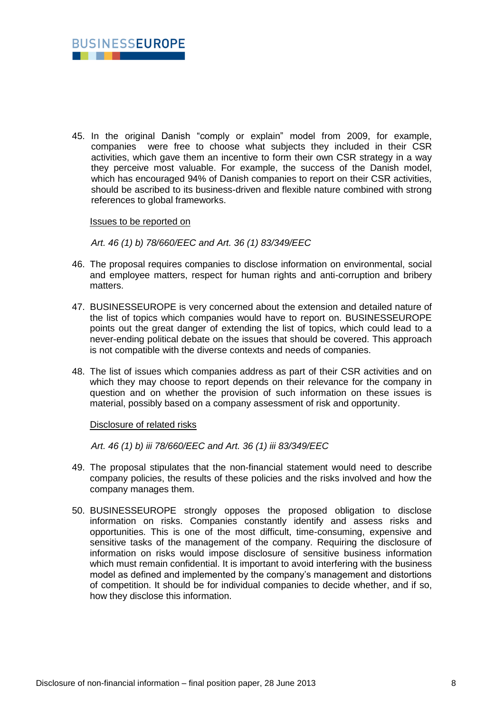

45. In the original Danish "comply or explain" model from 2009, for example, companies were free to choose what subjects they included in their CSR activities, which gave them an incentive to form their own CSR strategy in a way they perceive most valuable. For example, the success of the Danish model, which has encouraged 94% of Danish companies to report on their CSR activities, should be ascribed to its business-driven and flexible nature combined with strong references to global frameworks.

Issues to be reported on

*Art. 46 (1) b) 78/660/EEC and Art. 36 (1) 83/349/EEC*

- 46. The proposal requires companies to disclose information on environmental, social and employee matters, respect for human rights and anti-corruption and bribery matters.
- 47. BUSINESSEUROPE is very concerned about the extension and detailed nature of the list of topics which companies would have to report on. BUSINESSEUROPE points out the great danger of extending the list of topics, which could lead to a never-ending political debate on the issues that should be covered. This approach is not compatible with the diverse contexts and needs of companies.
- 48. The list of issues which companies address as part of their CSR activities and on which they may choose to report depends on their relevance for the company in question and on whether the provision of such information on these issues is material, possibly based on a company assessment of risk and opportunity.

Disclosure of related risks

*Art. 46 (1) b) iii 78/660/EEC and Art. 36 (1) iii 83/349/EEC*

- 49. The proposal stipulates that the non-financial statement would need to describe company policies, the results of these policies and the risks involved and how the company manages them.
- 50. BUSINESSEUROPE strongly opposes the proposed obligation to disclose information on risks. Companies constantly identify and assess risks and opportunities. This is one of the most difficult, time-consuming, expensive and sensitive tasks of the management of the company. Requiring the disclosure of information on risks would impose disclosure of sensitive business information which must remain confidential. It is important to avoid interfering with the business model as defined and implemented by the company's management and distortions of competition. It should be for individual companies to decide whether, and if so, how they disclose this information.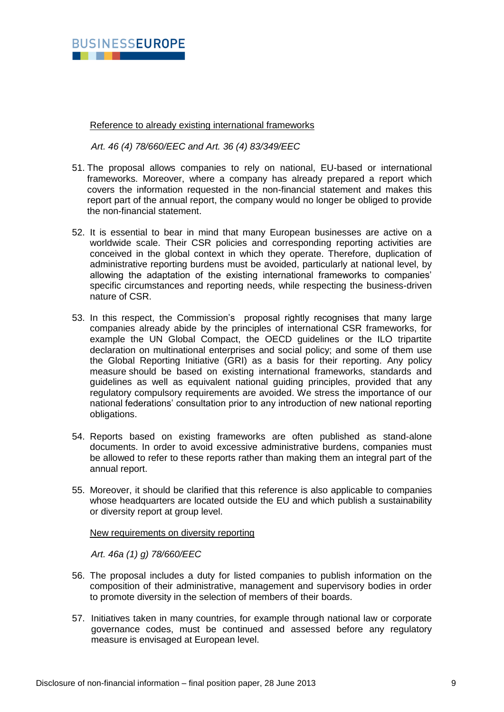

Reference to already existing international frameworks

*Art. 46 (4) 78/660/EEC and Art. 36 (4) 83/349/EEC*

- 51. The proposal allows companies to rely on national, EU-based or international frameworks. Moreover, where a company has already prepared a report which covers the information requested in the non-financial statement and makes this report part of the annual report, the company would no longer be obliged to provide the non-financial statement.
- 52. It is essential to bear in mind that many European businesses are active on a worldwide scale. Their CSR policies and corresponding reporting activities are conceived in the global context in which they operate. Therefore, duplication of administrative reporting burdens must be avoided, particularly at national level, by allowing the adaptation of the existing international frameworks to companies' specific circumstances and reporting needs, while respecting the business-driven nature of CSR.
- 53. In this respect, the Commission's proposal rightly recognises that many large companies already abide by the principles of international CSR frameworks, for example the UN Global Compact, the OECD guidelines or the ILO tripartite declaration on multinational enterprises and social policy; and some of them use the Global Reporting Initiative (GRI) as a basis for their reporting. Any policy measure should be based on existing international frameworks, standards and guidelines as well as equivalent national guiding principles, provided that any regulatory compulsory requirements are avoided. We stress the importance of our national federations' consultation prior to any introduction of new national reporting obligations.
- 54. Reports based on existing frameworks are often published as stand-alone documents. In order to avoid excessive administrative burdens, companies must be allowed to refer to these reports rather than making them an integral part of the annual report.
- 55. Moreover, it should be clarified that this reference is also applicable to companies whose headquarters are located outside the EU and which publish a sustainability or diversity report at group level.

New requirements on diversity reporting

*Art. 46a (1) g) 78/660/EEC*

- 56. The proposal includes a duty for listed companies to publish information on the composition of their administrative, management and supervisory bodies in order to promote diversity in the selection of members of their boards.
- 57. Initiatives taken in many countries, for example through national law or corporate governance codes, must be continued and assessed before any regulatory measure is envisaged at European level.